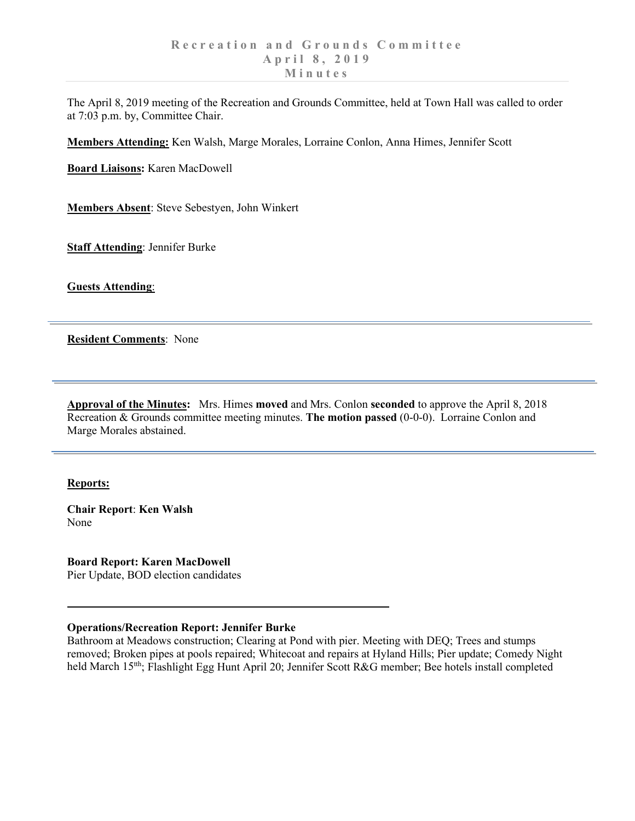The April 8, 2019 meeting of the Recreation and Grounds Committee, held at Town Hall was called to order at 7:03 p.m. by, Committee Chair.

**Members Attending:** Ken Walsh, Marge Morales, Lorraine Conlon, Anna Himes, Jennifer Scott

**Board Liaisons:** Karen MacDowell

**Members Absent**: Steve Sebestyen, John Winkert

**Staff Attending**: Jennifer Burke

**Guests Attending**:

**Resident Comments**: None

**Approval of the Minutes:** Mrs. Himes **moved** and Mrs. Conlon **seconded** to approve the April 8, 2018 Recreation & Grounds committee meeting minutes. **The motion passed** (0-0-0). Lorraine Conlon and Marge Morales abstained.

## **Reports:**

**Chair Report**: **Ken Walsh** None

**Board Report: Karen MacDowell** Pier Update, BOD election candidates

## **Operations/Recreation Report: Jennifer Burke**

Bathroom at Meadows construction; Clearing at Pond with pier. Meeting with DEQ; Trees and stumps removed; Broken pipes at pools repaired; Whitecoat and repairs at Hyland Hills; Pier update; Comedy Night held March 15<sup>tth</sup>; Flashlight Egg Hunt April 20; Jennifer Scott R&G member; Bee hotels install completed